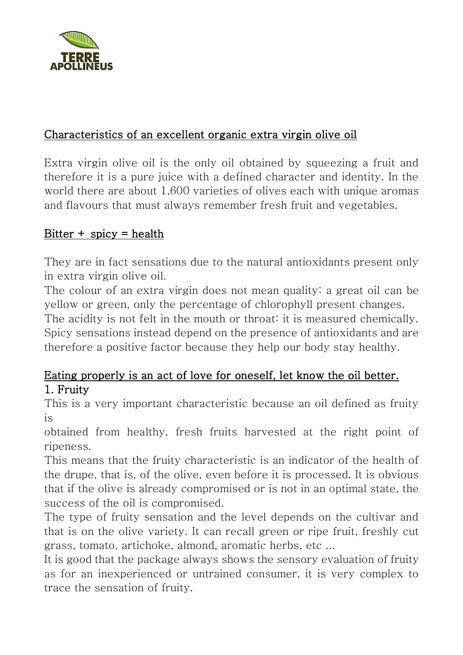

# Characteristics of an excellent organic extra virgin olive oil

Extra virgin olive oil is the only oil obtained by squeezing a fruit and therefore it is a pure juice with a defined character and identity. In the world there are about 1,600 varieties of olives each with unique aromas and flavours that must always remember fresh fruit and vegetables.

# Bitter  $+$  spicy  $=$  health

They are in fact sensations due to the natural antioxidants present only in extra virgin olive oil.

The colour of an extra virgin does not mean quality: a great oil can be yellow or green, only the percentage of chlorophyll present changes.

The acidity is not felt in the mouth or throat: it is measured chemically. Spicy sensations instead depend on the presence of antioxidants and are therefore a positive factor because they help our body stay healthy.

# Eating properly is an act of love for oneself, let know the oil better. 1. Fruity

This is a very important characteristic because an oil defined as fruity is

obtained from healthy, fresh fruits harvested at the right point of ripeness.

This means that the fruity characteristic is an indicator of the health of the drupe, that is, of the olive, even before it is processed. It is obvious that if the olive is already compromised or is not in an optimal state, the success of the oil is compromised.

The type of fruity sensation and the level depends on the cultivar and that is on the olive variety. It can recall green or ripe fruit, freshly cut grass, tomato, artichoke, almond, aromatic herbs, etc ...

It is good that the package always shows the sensory evaluation of fruity as for an inexperienced or untrained consumer, it is very complex to trace the sensation of fruity.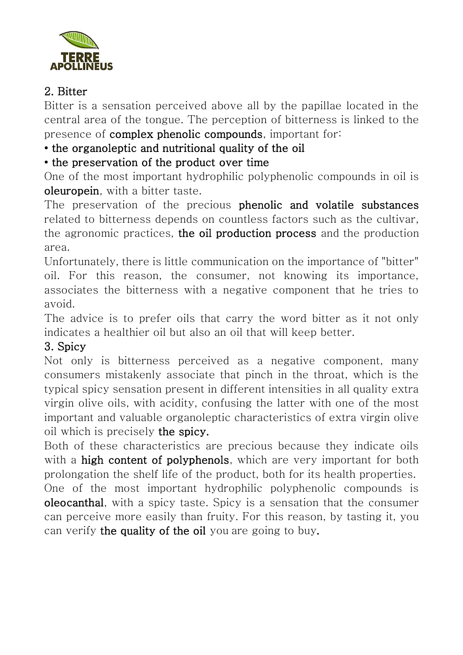

# 2. Bitter

Bitter is a sensation perceived above all by the papillae located in the central area of the tongue. The perception of bitterness is linked to the presence of complex phenolic compounds, important for:

### • the organoleptic and nutritional quality of the oil

### • the preservation of the product over time

One of the most important hydrophilic polyphenolic compounds in oil is oleuropein, with a bitter taste.

The preservation of the precious phenolic and volatile substances related to bitterness depends on countless factors such as the cultivar, the agronomic practices, the oil production process and the production area.

Unfortunately, there is little communication on the importance of "bitter" oil. For this reason, the consumer, not knowing its importance, associates the bitterness with a negative component that he tries to avoid.

The advice is to prefer oils that carry the word bitter as it not only indicates a healthier oil but also an oil that will keep better.

# 3. Spicy

Not only is bitterness perceived as a negative component, many consumers mistakenly associate that pinch in the throat, which is the typical spicy sensation present in different intensities in all quality extra virgin olive oils, with acidity, confusing the latter with one of the most important and valuable organoleptic characteristics of extra virgin olive oil which is precisely the spicy.

Both of these characteristics are precious because they indicate oils with a high content of polyphenols, which are very important for both prolongation the shelf life of the product, both for its health properties.

One of the most important hydrophilic polyphenolic compounds is oleocanthal, with a spicy taste. Spicy is a sensation that the consumer can perceive more easily than fruity. For this reason, by tasting it, you can verify the quality of the oil you are going to buy.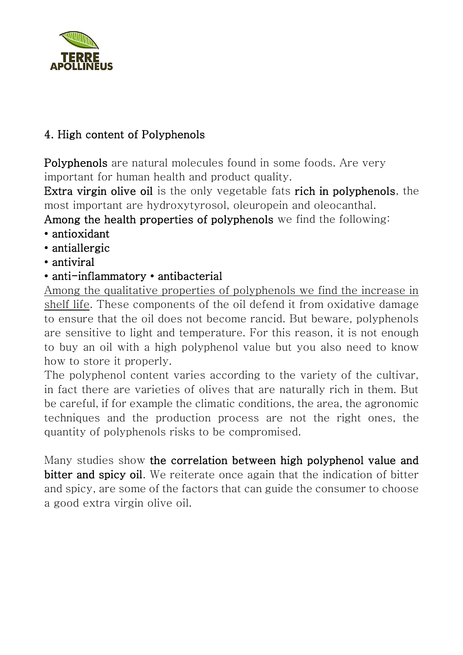

# 4. High content of Polyphenols

Polyphenols are natural molecules found in some foods. Are very important for human health and product quality.

Extra virgin olive oil is the only vegetable fats rich in polyphenols, the most important are hydroxytyrosol, oleuropein and oleocanthal.

Among the health properties of polyphenols we find the following:

- antioxidant
- antiallergic
- antiviral
- anti-inflammatory antibacterial

Among the qualitative properties of polyphenols we find the increase in shelf life. These components of the oil defend it from oxidative damage to ensure that the oil does not become rancid. But beware, polyphenols are sensitive to light and temperature. For this reason, it is not enough to buy an oil with a high polyphenol value but you also need to know how to store it properly.

The polyphenol content varies according to the variety of the cultivar, in fact there are varieties of olives that are naturally rich in them. But be careful, if for example the climatic conditions, the area, the agronomic techniques and the production process are not the right ones, the quantity of polyphenols risks to be compromised.

Many studies show the correlation between high polyphenol value and bitter and spicy oil. We reiterate once again that the indication of bitter and spicy, are some of the factors that can guide the consumer to choose a good extra virgin olive oil.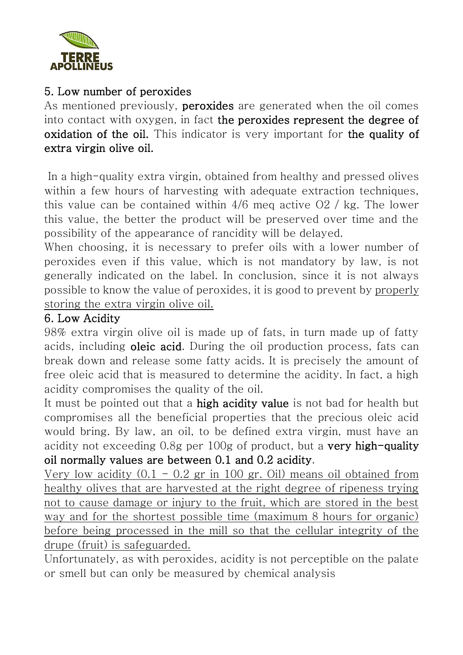

## 5. Low number of peroxides

As mentioned previously, **peroxides** are generated when the oil comes into contact with oxygen, in fact the peroxides represent the degree of oxidation of the oil. This indicator is very important for the quality of extra virgin olive oil.

In a high-quality extra virgin, obtained from healthy and pressed olives within a few hours of harvesting with adequate extraction techniques, this value can be contained within 4/6 meq active O2 / kg. The lower this value, the better the product will be preserved over time and the possibility of the appearance of rancidity will be delayed.

When choosing, it is necessary to prefer oils with a lower number of peroxides even if this value, which is not mandatory by law, is not generally indicated on the label. In conclusion, since it is not always possible to know the value of peroxides, it is good to prevent by properly storing the extra virgin olive oil.

### 6. Low Acidity

98% extra virgin olive oil is made up of fats, in turn made up of fatty acids, including **oleic acid**. During the oil production process, fats can break down and release some fatty acids. It is precisely the amount of free oleic acid that is measured to determine the acidity. In fact, a high acidity compromises the quality of the oil.

It must be pointed out that a high acidity value is not bad for health but compromises all the beneficial properties that the precious oleic acid would bring. By law, an oil, to be defined extra virgin, must have an acidity not exceeding 0.8g per 100g of product, but a very high-quality oil normally values are between 0.1 and 0.2 acidity.

Very low acidity  $(0.1 - 0.2$  gr in 100 gr. Oil) means oil obtained from healthy olives that are harvested at the right degree of ripeness trying not to cause damage or injury to the fruit, which are stored in the best way and for the shortest possible time (maximum 8 hours for organic) before being processed in the mill so that the cellular integrity of the drupe (fruit) is safeguarded.

Unfortunately, as with peroxides, acidity is not perceptible on the palate or smell but can only be measured by chemical analysis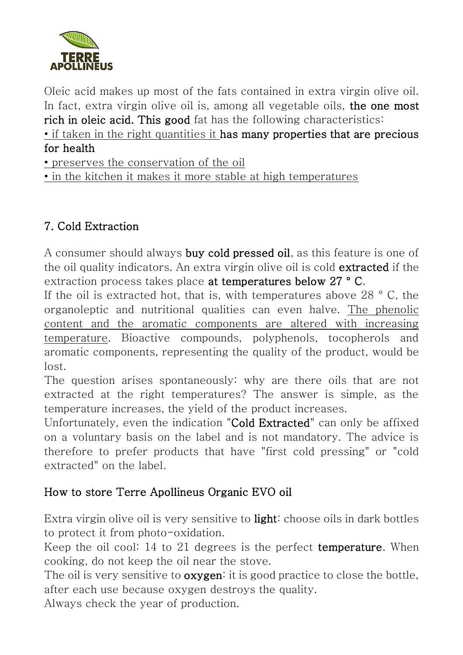

Oleic acid makes up most of the fats contained in extra virgin olive oil. In fact, extra virgin olive oil is, among all vegetable oils, the one most rich in oleic acid. This good fat has the following characteristics:

• if taken in the right quantities it has many properties that are precious for health

• preserves the conservation of the oil

• in the kitchen it makes it more stable at high temperatures

# 7. Cold Extraction

A consumer should always buy cold pressed oil, as this feature is one of the oil quality indicators. An extra virgin olive oil is cold extracted if the extraction process takes place at temperatures below 27 ° C.

If the oil is extracted hot, that is, with temperatures above 28 ° C, the organoleptic and nutritional qualities can even halve. The phenolic content and the aromatic components are altered with increasing temperature. Bioactive compounds, polyphenols, tocopherols and aromatic components, representing the quality of the product, would be lost.

The question arises spontaneously: why are there oils that are not extracted at the right temperatures? The answer is simple, as the temperature increases, the yield of the product increases.

Unfortunately, even the indication "Cold Extracted" can only be affixed on a voluntary basis on the label and is not mandatory. The advice is therefore to prefer products that have "first cold pressing" or "cold extracted" on the label.

# How to store Terre Apollineus Organic EVO oil

Extra virgin olive oil is very sensitive to **light**: choose oils in dark bottles to protect it from photo-oxidation.

Keep the oil cool: 14 to 21 degrees is the perfect **temperature**. When cooking, do not keep the oil near the stove.

The oil is very sensitive to **oxygen**: it is good practice to close the bottle, after each use because oxygen destroys the quality.

Always check the year of production.